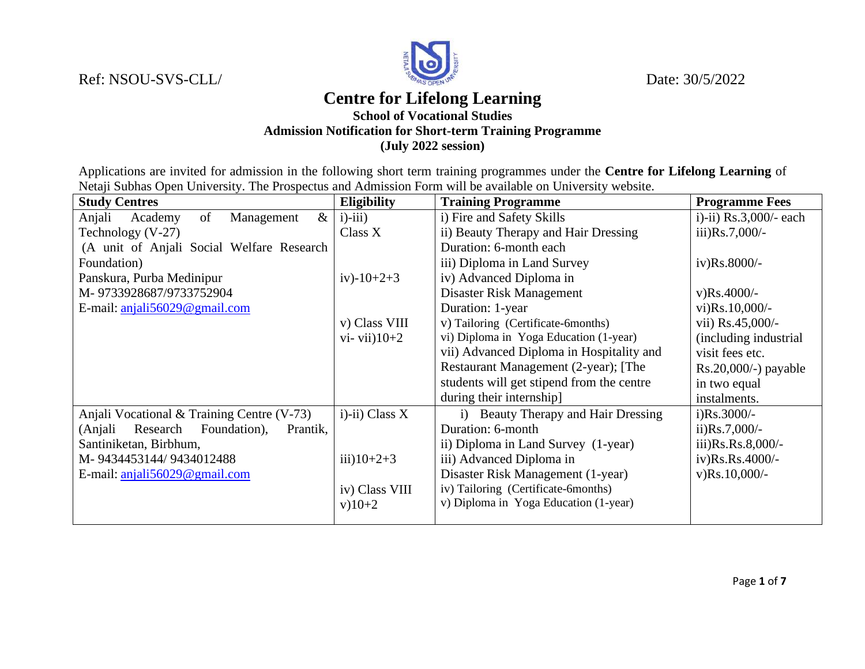Ref: NSOU-SVS-CLL/ Date: 30/5/2022



## **Centre for Lifelong Learning**

## **School of Vocational Studies Admission Notification for Short-term Training Programme (July 2022 session)**

Applications are invited for admission in the following short term training programmes under the **Centre for Lifelong Learning** of Netaji Subhas Open University. The Prospectus and Admission Form will be available on University website.

| <b>Study Centres</b>                            | <b>Eligibility</b> | <b>Training Programme</b>                 | <b>Programme Fees</b>          |
|-------------------------------------------------|--------------------|-------------------------------------------|--------------------------------|
| $\&$<br>of<br>Anjali<br>Academy<br>Management   | $i$ )- $iii$ )     | i) Fire and Safety Skills                 | i)-ii) $Rs.3,000/-$ each       |
| Technology $(V-27)$                             | Class X            | ii) Beauty Therapy and Hair Dressing      | $\pi$ iii) $\text{Rs.7,000/-}$ |
| (A unit of Anjali Social Welfare Research       |                    | Duration: 6-month each                    |                                |
| Foundation)                                     |                    | iii) Diploma in Land Survey               | iv)Rs.8000/-                   |
| Panskura, Purba Medinipur                       | iv $)-10+2+3$      | iv) Advanced Diploma in                   |                                |
| M-9733928687/9733752904                         |                    | Disaster Risk Management                  | $v)$ Rs.4000/-                 |
| E-mail: $anjali56029@gmail.com$                 |                    | Duration: 1-year                          | $vi)Rs.10,000/-$               |
|                                                 | v) Class VIII      | v) Tailoring (Certificate-6months)        | vii) Rs.45,000/-               |
|                                                 | $vi$ - vii $10+2$  | vi) Diploma in Yoga Education (1-year)    | (including industrial)         |
|                                                 |                    | vii) Advanced Diploma in Hospitality and  | visit fees etc.                |
|                                                 |                    | Restaurant Management (2-year); [The      | $Rs.20,000/-$ ) payable        |
|                                                 |                    | students will get stipend from the centre | in two equal                   |
|                                                 |                    | during their internship]                  | instalments.                   |
| Anjali Vocational & Training Centre (V-73)      | $i$ -ii) Class X   | i) Beauty Therapy and Hair Dressing       | $i)$ Rs.3000/-                 |
| Foundation),<br>(Anjali<br>Research<br>Prantik, |                    | Duration: 6-month                         | $\mu$ )Rs.7,000/-              |
| Santiniketan, Birbhum,                          |                    | ii) Diploma in Land Survey (1-year)       | iii)Rs.Rs.8,000/-              |
| M-9434453144/9434012488                         | $iii)10+2+3$       | iii) Advanced Diploma in                  | iv)Rs.Rs.4000/-                |
| E-mail: anjali56029@gmail.com                   |                    | Disaster Risk Management (1-year)         | $v)$ Rs.10,000/-               |
|                                                 | iv) Class VIII     | iv) Tailoring (Certificate-6months)       |                                |
|                                                 | $v)10+2$           | v) Diploma in Yoga Education (1-year)     |                                |
|                                                 |                    |                                           |                                |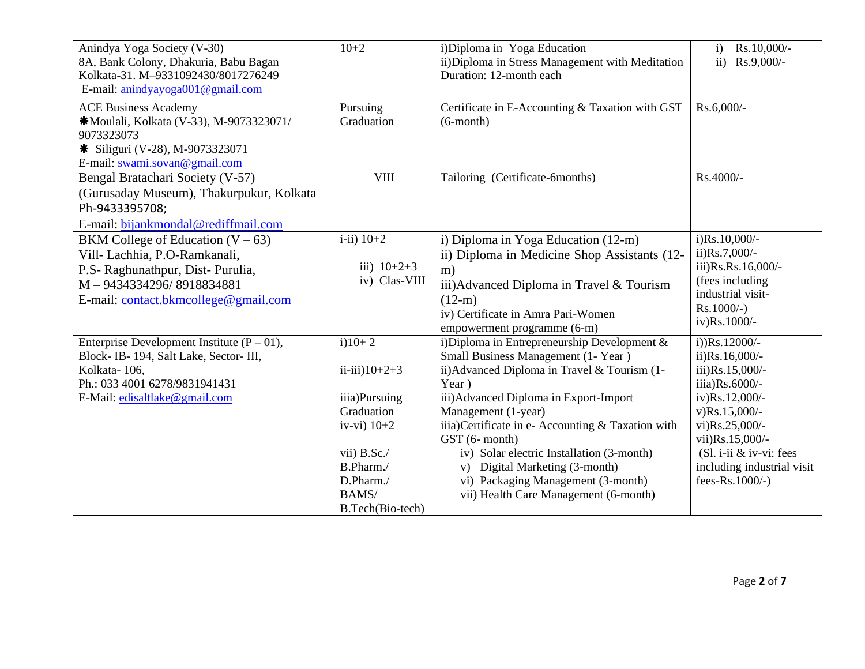| Anindya Yoga Society (V-30)<br>8A, Bank Colony, Dhakuria, Babu Bagan<br>Kolkata-31. M-9331092430/8017276249<br>E-mail: anindyayoga001@gmail.com                              | $10+2$                                                                                                                                                                            | i)Diploma in Yoga Education<br>ii) Diploma in Stress Management with Meditation<br>Duration: 12-month each                                                                                                                                                                                                                                                                                                                                         | Rs.10,000/-<br>$\mathbf{i}$<br>ii) Rs.9,000/-                                                                                                                                                                                              |
|------------------------------------------------------------------------------------------------------------------------------------------------------------------------------|-----------------------------------------------------------------------------------------------------------------------------------------------------------------------------------|----------------------------------------------------------------------------------------------------------------------------------------------------------------------------------------------------------------------------------------------------------------------------------------------------------------------------------------------------------------------------------------------------------------------------------------------------|--------------------------------------------------------------------------------------------------------------------------------------------------------------------------------------------------------------------------------------------|
| <b>ACE Business Academy</b><br>*Moulali, Kolkata (V-33), M-9073323071/<br>9073323073<br>* Siliguri (V-28), M-9073323071<br>E-mail: swami.sovan@gmail.com                     | Pursuing<br>Graduation                                                                                                                                                            | Certificate in E-Accounting & Taxation with GST<br>$(6$ -month $)$                                                                                                                                                                                                                                                                                                                                                                                 | Rs.6,000/-                                                                                                                                                                                                                                 |
| Bengal Bratachari Society (V-57)<br>(Gurusaday Museum), Thakurpukur, Kolkata<br>Ph-9433395708;<br>E-mail: bijankmondal@rediffmail.com                                        | <b>VIII</b>                                                                                                                                                                       | Tailoring (Certificate-6months)                                                                                                                                                                                                                                                                                                                                                                                                                    | Rs.4000/-                                                                                                                                                                                                                                  |
| BKM College of Education $(V - 63)$<br>Vill- Lachhia, P.O-Ramkanali,<br>P.S- Raghunathpur, Dist- Purulia,<br>M-9434334296/8918834881<br>E-mail: contact.bkmcollege@gmail.com | $i$ -ii) $10+2$<br>iii) $10+2+3$<br>iv) Clas-VIII                                                                                                                                 | i) Diploma in Yoga Education (12-m)<br>ii) Diploma in Medicine Shop Assistants (12-<br>m)<br>iii) Advanced Diploma in Travel & Tourism<br>$(12-m)$<br>iv) Certificate in Amra Pari-Women<br>empowerment programme (6-m)                                                                                                                                                                                                                            | i)Rs.10,000/-<br>$ii)Rs.7,000/-$<br>iii)Rs.Rs.16,000/-<br>(fees including<br>industrial visit-<br>$Rs.1000/-$ )<br>iv)Rs.1000/-                                                                                                            |
| Enterprise Development Institute $(P - 01)$ ,<br>Block-IB-194, Salt Lake, Sector-III,<br>Kolkata-106,<br>Ph.: 033 4001 6278/9831941431<br>E-Mail: edisaltlake@gmail.com      | $i)10+2$<br>$\ddot{\text{11}}$ - $\ddot{\text{11}}$ )10+2+3<br>iiia)Pursuing<br>Graduation<br>iv-vi) $10+2$<br>vii) B.Sc./<br>B.Pharm./<br>D.Pharm./<br>BAMS/<br>B.Tech(Bio-tech) | i)Diploma in Entrepreneurship Development &<br>Small Business Management (1- Year)<br>ii) Advanced Diploma in Travel & Tourism (1-<br>Year)<br>iii) Advanced Diploma in Export-Import<br>Management (1-year)<br>iiia) Certificate in e- Accounting & Taxation with<br>GST (6- month)<br>iv) Solar electric Installation (3-month)<br>v) Digital Marketing (3-month)<br>vi) Packaging Management (3-month)<br>vii) Health Care Management (6-month) | $i)$ ) $Rs.12000/-$<br>$ii)$ Rs.16,000/-<br>iii) $Rs.15,000/-$<br>iiia)Rs.6000/-<br>iv)Rs.12,000/-<br>$v)$ Rs.15,000/-<br>vi)Rs.25,000/-<br>vii)Rs.15,000/-<br>$(Sl. i-ii & iv-vi: fees)$<br>including industrial visit<br>fees-Rs.1000/-) |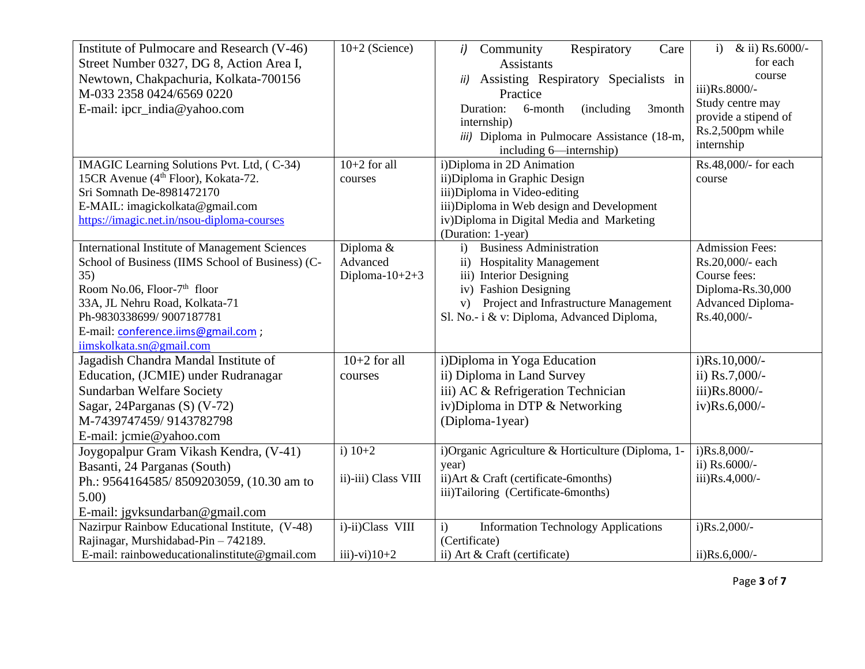| Institute of Pulmocare and Research (V-46)<br>Street Number 0327, DG 8, Action Area I,<br>Newtown, Chakpachuria, Kolkata-700156<br>M-033 2358 0424/6569 0220<br>E-mail: ipcr_india@yahoo.com                                                                                                 | $10+2$ (Science)                           | Respiratory<br>Care<br>Community<br>i)<br><b>Assistants</b><br>Assisting Respiratory Specialists in<br>ii)<br>Practice<br>Duration:<br>6-month<br><i>(including)</i><br>3month<br>internship)<br>iii) Diploma in Pulmocare Assistance (18-m,<br>including 6-internship) | & ii) Rs.6000/-<br>$\mathbf{i}$<br>for each<br>course<br>iii)Rs.8000/-<br>Study centre may<br>provide a stipend of<br>Rs.2,500pm while<br>internship |
|----------------------------------------------------------------------------------------------------------------------------------------------------------------------------------------------------------------------------------------------------------------------------------------------|--------------------------------------------|-------------------------------------------------------------------------------------------------------------------------------------------------------------------------------------------------------------------------------------------------------------------------|------------------------------------------------------------------------------------------------------------------------------------------------------|
| IMAGIC Learning Solutions Pvt. Ltd, (C-34)<br>15CR Avenue (4 <sup>th</sup> Floor), Kokata-72.<br>Sri Somnath De-8981472170<br>E-MAIL: imagickolkata@gmail.com<br>https://imagic.net.in/nsou-diploma-courses                                                                                  | $10+2$ for all<br>courses                  | i)Diploma in 2D Animation<br>ii) Diploma in Graphic Design<br>iii) Diploma in Video-editing<br>iii) Diploma in Web design and Development<br>iv) Diploma in Digital Media and Marketing<br>(Duration: 1-year)                                                           | Rs.48,000/- for each<br>course                                                                                                                       |
| <b>International Institute of Management Sciences</b><br>School of Business (IIMS School of Business) (C-<br>35)<br>Room No.06, Floor-7 <sup>th</sup> floor<br>33A, JL Nehru Road, Kolkata-71<br>Ph-9830338699/9007187781<br>E-mail: conference.iims@gmail.com ;<br>iimskolkata.sn@gmail.com | Diploma &<br>Advanced<br>Diploma- $10+2+3$ | <b>Business Administration</b><br>$\mathbf{i}$<br>ii) Hospitality Management<br>iii) Interior Designing<br>iv) Fashion Designing<br>v) Project and Infrastructure Management<br>Sl. No.- i & v: Diploma, Advanced Diploma,                                              | <b>Admission Fees:</b><br>Rs.20,000/- each<br>Course fees:<br>Diploma-Rs.30,000<br><b>Advanced Diploma-</b><br>Rs.40,000/-                           |
| Jagadish Chandra Mandal Institute of<br>Education, (JCMIE) under Rudranagar<br>Sundarban Welfare Society<br>Sagar, 24Parganas (S) (V-72)<br>M-7439747459/9143782798<br>E-mail: jcmie@yahoo.com                                                                                               | $10+2$ for all<br>courses                  | i) Diploma in Yoga Education<br>ii) Diploma in Land Survey<br>iii) AC & Refrigeration Technician<br>iv)Diploma in DTP & Networking<br>(Diploma-1year)                                                                                                                   | $i)$ Rs.10,000/-<br>ii) Rs.7,000/-<br>iii)Rs.8000/-<br>iv)Rs.6,000/-                                                                                 |
| Joygopalpur Gram Vikash Kendra, (V-41)<br>Basanti, 24 Parganas (South)<br>Ph.: 9564164585/8509203059, (10.30 am to<br>5.00)<br>E-mail: jgvksundarban@gmail.com                                                                                                                               | i) $10+2$<br>ii)-iii) Class VIII           | i)Organic Agriculture & Horticulture (Diploma, 1-<br>year)<br>ii) Art & Craft (certificate-6months)<br>iii)Tailoring (Certificate-6months)                                                                                                                              | $i)$ Rs.8,000/-<br>ii) Rs.6000/-<br>iii)Rs.4,000/-                                                                                                   |
| Nazirpur Rainbow Educational Institute, (V-48)<br>Rajinagar, Murshidabad-Pin - 742189.<br>E-mail: rainboweducationalinstitute@gmail.com                                                                                                                                                      | i)-ii)Class VIII<br>$iii)-vi)10+2$         | <b>Information Technology Applications</b><br>$\mathbf{i}$<br>(Certificate)<br>ii) Art & Craft (certificate)                                                                                                                                                            | $i)$ Rs.2,000/-<br>$ii)$ Rs.6,000/-                                                                                                                  |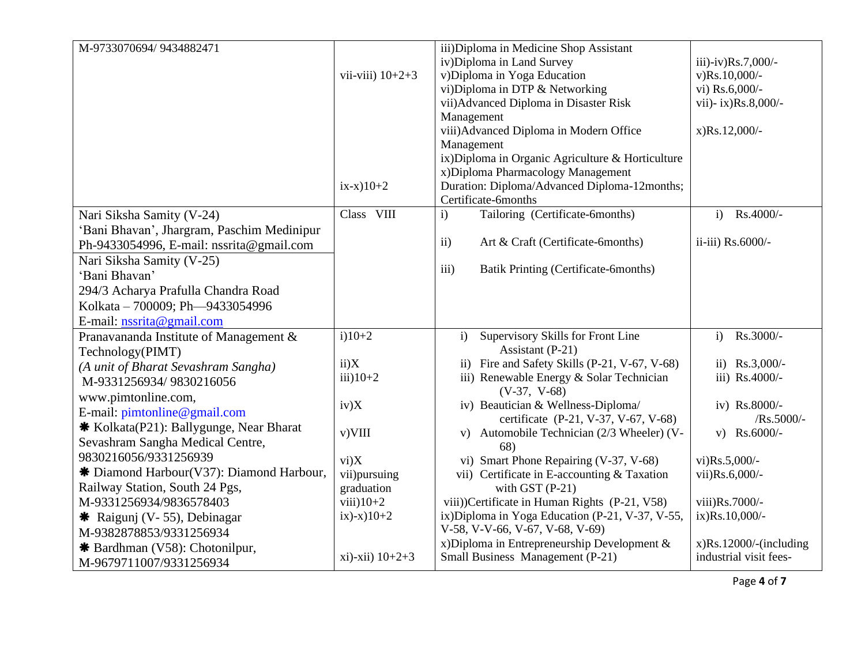| M-9733070694/9434882471                    |                    | iii) Diploma in Medicine Shop Assistant                |                           |
|--------------------------------------------|--------------------|--------------------------------------------------------|---------------------------|
|                                            |                    | iv) Diploma in Land Survey                             | iii)-iv)Rs.7,000/-        |
|                                            | vii-viii) $10+2+3$ | v)Diploma in Yoga Education                            | $v)$ Rs.10,000/-          |
|                                            |                    | vi)Diploma in DTP & Networking                         | vi) Rs.6,000/-            |
|                                            |                    | vii) Advanced Diploma in Disaster Risk                 | vii)- ix)Rs.8,000/-       |
|                                            |                    | Management                                             |                           |
|                                            |                    | viii) Advanced Diploma in Modern Office                | $x)Rs.12,000/-$           |
|                                            |                    | Management                                             |                           |
|                                            |                    | ix) Diploma in Organic Agriculture & Horticulture      |                           |
|                                            |                    | x) Diploma Pharmacology Management                     |                           |
|                                            | $ix-x)10+2$        | Duration: Diploma/Advanced Diploma-12months;           |                           |
|                                            |                    | Certificate-6months                                    |                           |
| Nari Siksha Samity (V-24)                  | Class VIII         | Tailoring (Certificate-6months)<br>$\mathbf{i}$        | Rs.4000/-<br>$\mathbf{i}$ |
| 'Bani Bhavan', Jhargram, Paschim Medinipur |                    |                                                        |                           |
| Ph-9433054996, E-mail: nssrita@gmail.com   |                    | $\overline{ii}$ )<br>Art & Craft (Certificate-6months) | ii-iii) Rs.6000/-         |
| Nari Siksha Samity (V-25)                  |                    |                                                        |                           |
| 'Bani Bhavan'                              |                    | Batik Printing (Certificate-6months)<br>iii)           |                           |
| 294/3 Acharya Prafulla Chandra Road        |                    |                                                        |                           |
| Kolkata - 700009; Ph-9433054996            |                    |                                                        |                           |
| E-mail: nssrita@gmail.com                  |                    |                                                        |                           |
| Pranavananda Institute of Management &     | $i)10+2$           | Supervisory Skills for Front Line<br>$\mathbf{i}$      | Rs.3000/-<br>$\mathbf{i}$ |
| Technology(PIMT)                           |                    | Assistant (P-21)                                       |                           |
| (A unit of Bharat Sevashram Sangha)        | ii)X               | ii) Fire and Safety Skills (P-21, V-67, V-68)          | ii) $Rs.3,000/-$          |
| M-9331256934/9830216056                    | $iii)10+2$         | iii) Renewable Energy & Solar Technician               | iii) Rs.4000/-            |
| www.pimtonline.com,                        |                    | $(V-37, V-68)$                                         |                           |
| E-mail: pimtonline@gmail.com               | iv)X               | iv) Beautician & Wellness-Diploma/                     | iv) Rs.8000/-             |
| * Kolkata(P21): Ballygunge, Near Bharat    |                    | certificate (P-21, V-37, V-67, V-68)                   | $/Rs.5000/-$              |
| Sevashram Sangha Medical Centre,           | v)VIII             | v) Automobile Technician (2/3 Wheeler) (V-             | $v)$ Rs.6000/-            |
|                                            |                    | 68)                                                    |                           |
| 9830216056/9331256939                      | vi)X               | vi) Smart Phone Repairing (V-37, V-68)                 | $vi)Rs.5,000/-$           |
| * Diamond Harbour(V37): Diamond Harbour,   | vii)pursuing       | vii) Certificate in E-accounting & Taxation            | vii)Rs.6,000/-            |
| Railway Station, South 24 Pgs,             | graduation         | with GST $(P-21)$                                      |                           |
| M-9331256934/9836578403                    | $viii)10+2$        | viii))Certificate in Human Rights (P-21, V58)          | viii)Rs.7000/-            |
| * Raigunj (V-55), Debinagar                | $(x)-x$ ) 10+2     | ix) Diploma in Yoga Education (P-21, V-37, V-55,       | ix)Rs.10,000/-            |
| M-9382878853/9331256934                    |                    | V-58, V-V-66, V-67, V-68, V-69)                        |                           |
| * Bardhman (V58): Chotonilpur,             |                    | x)Diploma in Entrepreneurship Development &            | $x)$ Rs.12000/-(including |
| M-9679711007/9331256934                    | $xi)$ -xii) 10+2+3 | Small Business Management (P-21)                       | industrial visit fees-    |
|                                            |                    |                                                        | Page 4 of 7               |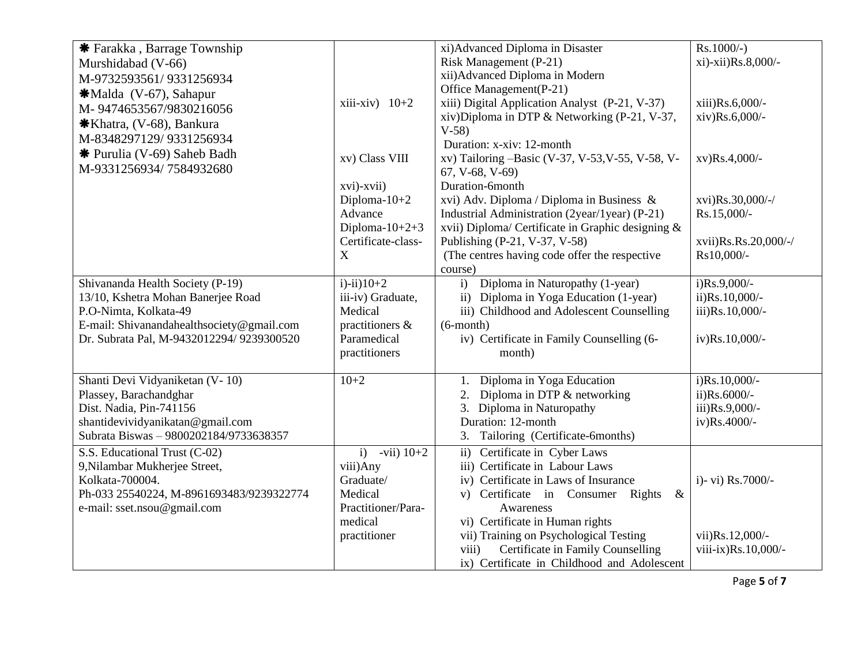| * Farakka, Barrage Township               |                     | xi) Advanced Diploma in Disaster                  | $Rs.1000/-$ )        |
|-------------------------------------------|---------------------|---------------------------------------------------|----------------------|
| Murshidabad (V-66)                        |                     | Risk Management (P-21)                            | xi)-xii)Rs.8,000/-   |
| M-9732593561/9331256934                   |                     | xii) Advanced Diploma in Modern                   |                      |
| *Malda (V-67), Sahapur                    |                     | Office Management(P-21)                           |                      |
|                                           | xiii-xiv) $10+2$    | xiii) Digital Application Analyst (P-21, V-37)    | xiii)Rs.6,000/-      |
| M-9474653567/9830216056                   |                     | xiv)Diploma in DTP & Networking (P-21, V-37,      | xiv)Rs.6,000/-       |
| *Khatra, (V-68), Bankura                  |                     | $V-58$                                            |                      |
| M-8348297129/9331256934                   |                     | Duration: x-xiv: 12-month                         |                      |
| <b>*</b> Purulia (V-69) Saheb Badh        | xv) Class VIII      | xv) Tailoring -Basic (V-37, V-53, V-55, V-58, V-  | xv)Rs.4,000/-        |
| M-9331256934/7584932680                   |                     | 67, V-68, V-69)                                   |                      |
|                                           | xvi)-xvii)          | Duration-6month                                   |                      |
|                                           | Diploma- $10+2$     | xvi) Adv. Diploma / Diploma in Business &         | xvi)Rs.30,000/-/     |
|                                           | Advance             | Industrial Administration (2year/1year) (P-21)    | Rs.15,000/-          |
|                                           | Diploma- $10+2+3$   | xvii) Diploma/ Certificate in Graphic designing & |                      |
|                                           | Certificate-class-  | Publishing (P-21, V-37, V-58)                     | xvii)Rs.Rs.20,000/-/ |
|                                           | X                   | (The centres having code offer the respective     | Rs10,000/-           |
|                                           |                     | course)                                           |                      |
| Shivananda Health Society (P-19)          | $i)$ - $ii)$ $10+2$ | Diploma in Naturopathy (1-year)<br>i)             | $i)Rs.9,000/-$       |
| 13/10, Kshetra Mohan Banerjee Road        | iii-iv) Graduate,   | ii) Diploma in Yoga Education (1-year)            | ii)Rs.10,000/-       |
| P.O-Nimta, Kolkata-49                     | Medical             | iii) Childhood and Adolescent Counselling         | iii)Rs.10,000/-      |
| E-mail: Shivanandahealthsociety@gmail.com | practitioners &     | $(6$ -month $)$                                   |                      |
| Dr. Subrata Pal, M-9432012294/ 9239300520 | Paramedical         | iv) Certificate in Family Counselling (6-         | iv)Rs.10,000/-       |
|                                           | practitioners       | month)                                            |                      |
|                                           |                     |                                                   |                      |
| Shanti Devi Vidyaniketan (V-10)           | $10+2$              | Diploma in Yoga Education<br>1.                   | $i)$ Rs.10,000/-     |
| Plassey, Barachandghar                    |                     | Diploma in DTP & networking                       | ii)Rs.6000/-         |
| Dist. Nadia, Pin-741156                   |                     | 3. Diploma in Naturopathy                         | iii)Rs.9,000/-       |
| shantidevividyanikatan@gmail.com          |                     | Duration: 12-month                                | iv)Rs.4000/-         |
| Subrata Biswas - 9800202184/9733638357    |                     | 3. Tailoring (Certificate-6months)                |                      |
| S.S. Educational Trust (C-02)             | $-vii) 10+2$<br>i)  | ii) Certificate in Cyber Laws                     |                      |
| 9, Nilambar Mukherjee Street,             | viii)Any            | iii) Certificate in Labour Laws                   |                      |
| Kolkata-700004.                           | Graduate/           | iv) Certificate in Laws of Insurance              | i)- vi) Rs.7000/-    |
| Ph-033 25540224, M-8961693483/9239322774  | Medical             | v) Certificate in Consumer Rights<br>$\&$         |                      |
| e-mail: sset.nsou@gmail.com               | Practitioner/Para-  | Awareness                                         |                      |
|                                           | medical             | vi) Certificate in Human rights                   |                      |
|                                           | practitioner        | vii) Training on Psychological Testing            | vii)Rs.12,000/-      |
|                                           |                     | Certificate in Family Counselling<br>viii)        | viii-ix)Rs.10,000/-  |
|                                           |                     | ix) Certificate in Childhood and Adolescent       |                      |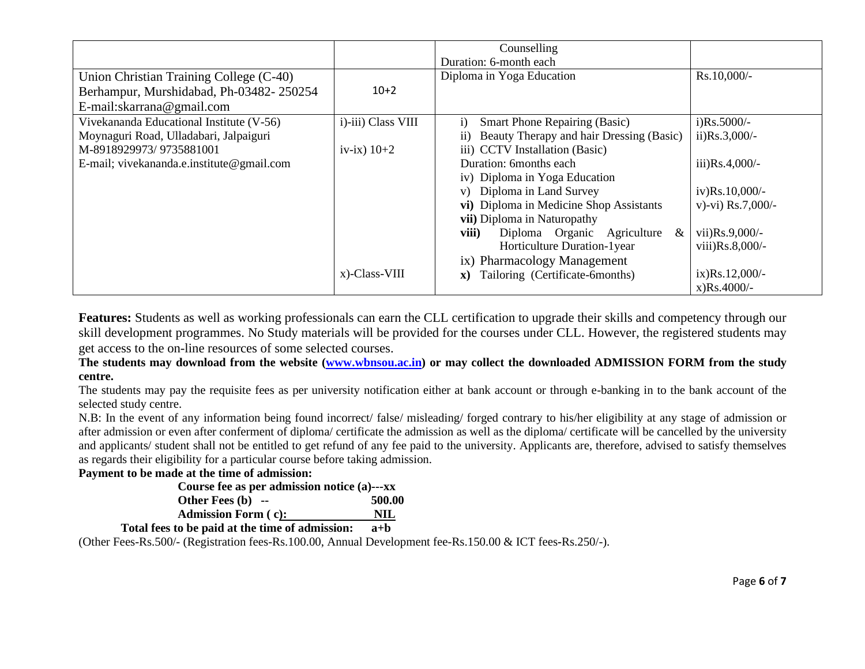|                                           |                    | Counselling                                           |                     |
|-------------------------------------------|--------------------|-------------------------------------------------------|---------------------|
|                                           |                    |                                                       |                     |
|                                           |                    | Duration: 6-month each                                |                     |
| Union Christian Training College (C-40)   |                    | Diploma in Yoga Education                             | Rs.10,000/-         |
| Berhampur, Murshidabad, Ph-03482-250254   | $10+2$             |                                                       |                     |
| E-mail:skarrana@gmail.com                 |                    |                                                       |                     |
| Vivekananda Educational Institute (V-56)  | i)-iii) Class VIII | <b>Smart Phone Repairing (Basic)</b><br>i)            | $i)$ Rs.5000/-      |
| Moynaguri Road, Ulladabari, Jalpaiguri    |                    | Beauty Therapy and hair Dressing (Basic)<br>$\rm ii)$ | $ii)Rs.3,000/-$     |
| M-8918929973/9735881001                   | iv-ix) $10+2$      | iii) CCTV Installation (Basic)                        |                     |
| E-mail; vivekananda.e.institute@gmail.com |                    | Duration: 6months each                                | iii) $Rs.4,000/-$   |
|                                           |                    | iv) Diploma in Yoga Education                         |                     |
|                                           |                    | v) Diploma in Land Survey                             | $iv)Rs.10,000/-$    |
|                                           |                    | vi) Diploma in Medicine Shop Assistants               | v)-vi) $Rs.7,000/-$ |
|                                           |                    | vii) Diploma in Naturopathy                           |                     |
|                                           |                    | viii)<br>Diploma Organic Agriculture<br>&             | vii) $Rs.9,000/-$   |
|                                           |                    | Horticulture Duration-1year                           | viii) $Rs.8,000/-$  |
|                                           |                    | ix) Pharmacology Management                           |                     |
|                                           | x)-Class-VIII      | Tailoring (Certificate-6months)<br>$\mathbf{X}$       | $ix)Rs.12,000/-$    |
|                                           |                    |                                                       | $x)Rs.4000/-$       |

**Features:** Students as well as working professionals can earn the CLL certification to upgrade their skills and competency through our skill development programmes. No Study materials will be provided for the courses under CLL. However, the registered students may get access to the on-line resources of some selected courses.

**The students may download from the website [\(www.wbnsou.ac.in\)](http://www.wbnsou.ac.in/) or may collect the downloaded ADMISSION FORM from the study centre.** 

The students may pay the requisite fees as per university notification either at bank account or through e-banking in to the bank account of the selected study centre.

N.B: In the event of any information being found incorrect/ false/ misleading/ forged contrary to his/her eligibility at any stage of admission or after admission or even after conferment of diploma/ certificate the admission as well as the diploma/ certificate will be cancelled by the university and applicants/ student shall not be entitled to get refund of any fee paid to the university. Applicants are, therefore, advised to satisfy themselves as regards their eligibility for a particular course before taking admission.

## **Payment to be made at the time of admission:**

| Course fee as per admission notice (a)---xx |        |
|---------------------------------------------|--------|
| Other Fees $(b)$ --                         | 500.00 |
| <b>Admission Form (c):</b>                  | NIL    |
|                                             |        |

 **Total fees to be paid at the time of admission: a+b**

(Other Fees-Rs.500/- (Registration fees-Rs.100.00, Annual Development fee-Rs.150.00 & ICT fees**-**Rs.250/-).